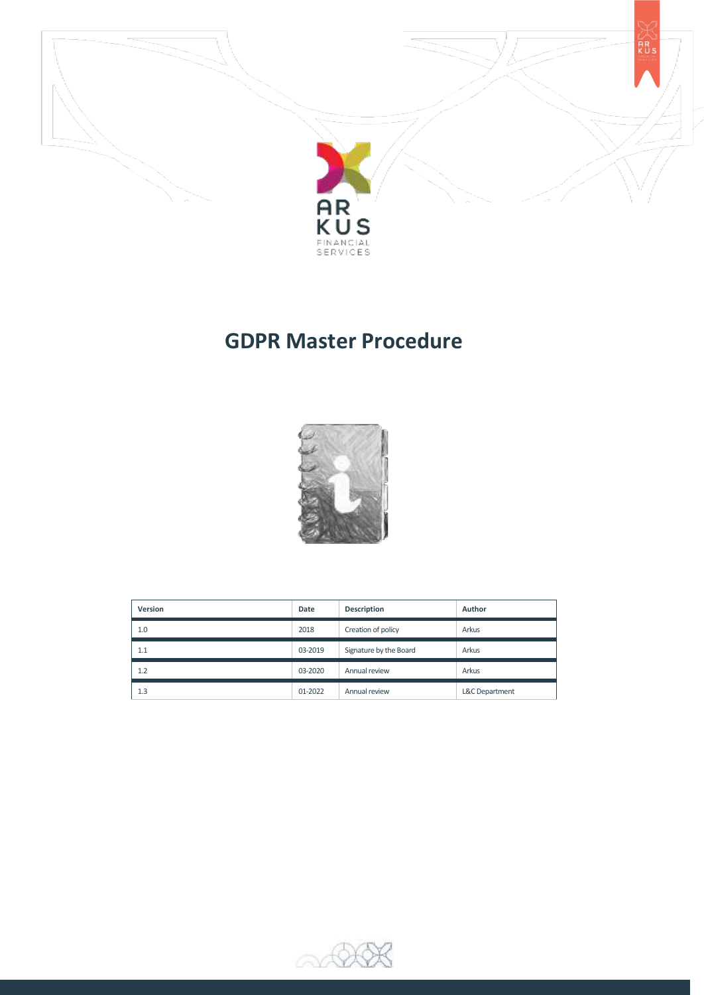



# **GDPR Master Procedure**



| Version | Date    | Description            | Author         |
|---------|---------|------------------------|----------------|
| 1.0     | 2018    | Creation of policy     | Arkus          |
| 1.1     | 03-2019 | Signature by the Board | Arkus          |
| 1.2     | 03-2020 | Annual review          | Arkus          |
| 1.3     | 01-2022 | Annual review          | L&C Department |

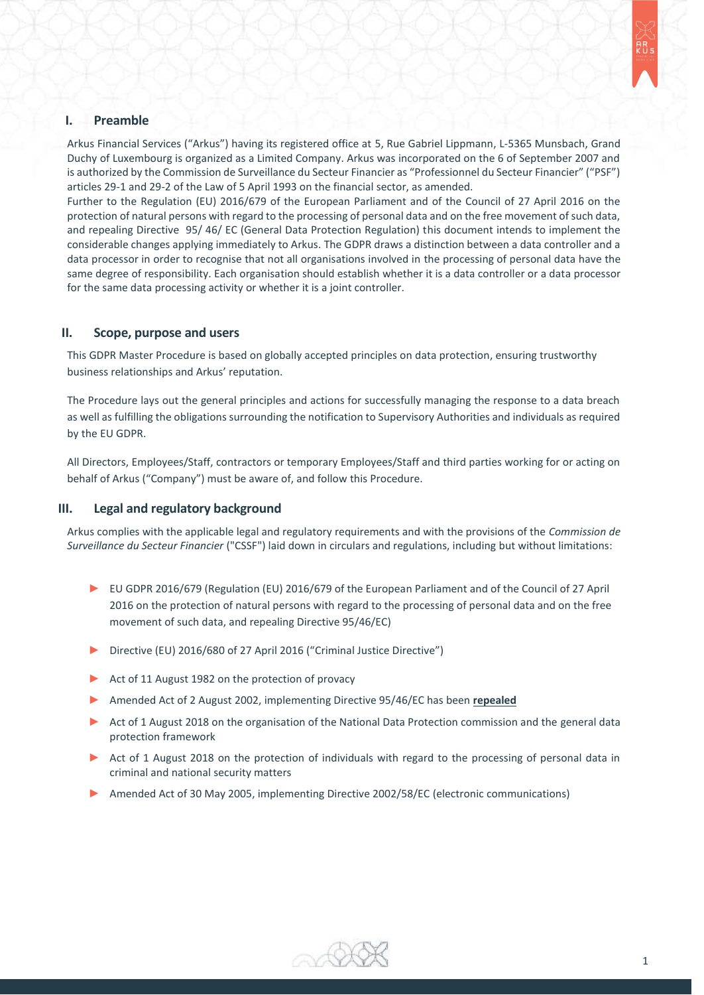

# **I. Preamble**

Arkus Financial Services ("Arkus") having its registered office at 5, Rue Gabriel Lippmann, L-5365 Munsbach, Grand Duchy of Luxembourg is organized as a Limited Company. Arkus was incorporated on the 6 of September 2007 and is authorized by the Commission de Surveillance du Secteur Financier as "Professionnel du Secteur Financier" ("PSF") articles 29-1 and 29-2 of the Law of 5 April 1993 on the financial sector, as amended.

Further to the Regulation (EU) 2016/679 of the European Parliament and of the Council of 27 April 2016 on the protection of natural persons with regard to the processing of personal data and on the free movement of such data, and repealing Directive 95/ 46/ EC (General Data Protection Regulation) this document intends to implement the considerable changes applying immediately to Arkus. The GDPR draws a distinction between a data controller and a data processor in order to recognise that not all organisations involved in the processing of personal data have the same degree of responsibility. Each organisation should establish whether it is a data controller or a data processor for the same data processing activity or whether it is a joint controller.

### **II. Scope, purpose and users**

This GDPR Master Procedure is based on globally accepted principles on data protection, ensuring trustworthy business relationships and Arkus' reputation.

The Procedure lays out the general principles and actions for successfully managing the response to a data breach as well as fulfilling the obligations surrounding the notification to Supervisory Authorities and individuals as required by the EU GDPR.

All Directors, Employees/Staff, contractors or temporary Employees/Staff and third parties working for or acting on behalf of Arkus ("Company") must be aware of, and follow this Procedure.

### **III. Legal and regulatory background**

Arkus complies with the applicable legal and regulatory requirements and with the provisions of the *Commission de Surveillance du Secteur Financier* ("CSSF") laid down in circulars and regulations, including but without limitations:

- ► EU GDPR 2016/679 (Regulation (EU) 2016/679 of the European Parliament and of the Council of 27 April 2016 on the protection of natural persons with regard to the processing of personal data and on the free movement of such data, and repealing Directive 95/46/EC)
- ► Directive (EU) 2016/680 of 27 April 2016 ("Criminal Justice Directive")
- ► Act of 11 August 1982 on the protection of provacy
- ► Amended Act of 2 August 2002, implementing Directive 95/46/EC has been **repealed**
- ► Act of 1 August 2018 on the organisation of the National Data Protection commission and the general data protection framework
- ► Act of 1 August 2018 on the protection of individuals with regard to the processing of personal data in criminal and national security matters
- Amended Act of 30 May 2005, implementing Directive 2002/58/EC (electronic communications)

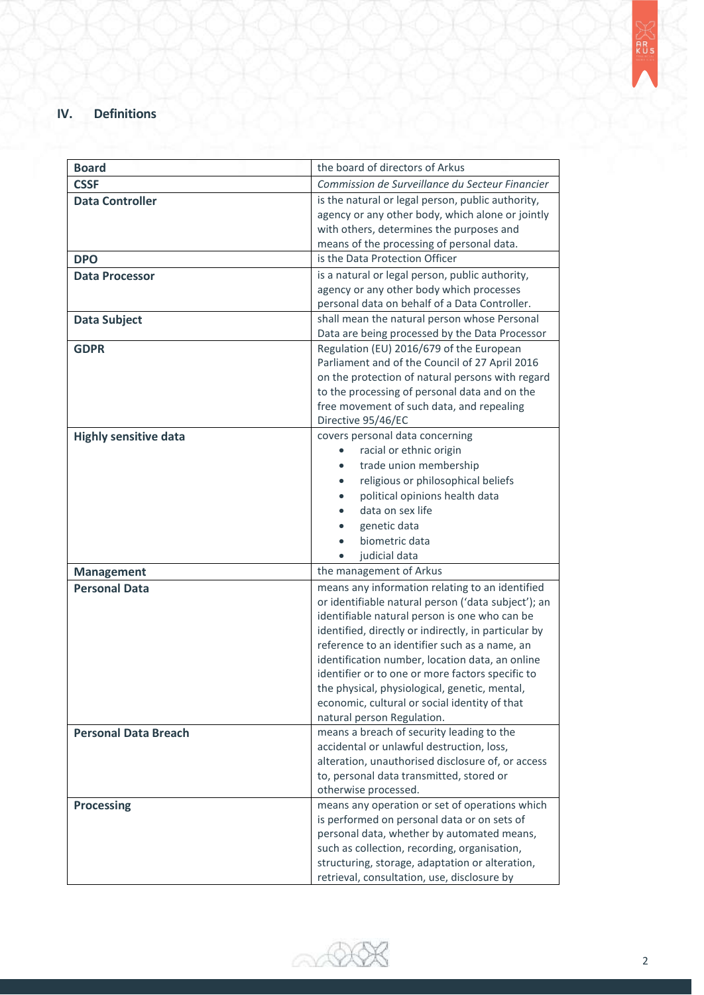# **IV. Definitions**

| <b>Board</b>                 | the board of directors of Arkus                      |  |
|------------------------------|------------------------------------------------------|--|
|                              | Commission de Surveillance du Secteur Financier      |  |
| <b>CSSF</b>                  |                                                      |  |
| <b>Data Controller</b>       | is the natural or legal person, public authority,    |  |
|                              | agency or any other body, which alone or jointly     |  |
|                              | with others, determines the purposes and             |  |
|                              | means of the processing of personal data.            |  |
| <b>DPO</b>                   | is the Data Protection Officer                       |  |
| <b>Data Processor</b>        | is a natural or legal person, public authority,      |  |
|                              | agency or any other body which processes             |  |
|                              | personal data on behalf of a Data Controller.        |  |
| <b>Data Subject</b>          | shall mean the natural person whose Personal         |  |
|                              | Data are being processed by the Data Processor       |  |
| <b>GDPR</b>                  | Regulation (EU) 2016/679 of the European             |  |
|                              | Parliament and of the Council of 27 April 2016       |  |
|                              | on the protection of natural persons with regard     |  |
|                              | to the processing of personal data and on the        |  |
|                              | free movement of such data, and repealing            |  |
|                              | Directive 95/46/EC                                   |  |
| <b>Highly sensitive data</b> | covers personal data concerning                      |  |
|                              | racial or ethnic origin<br>$\bullet$                 |  |
|                              | trade union membership<br>$\bullet$                  |  |
|                              | religious or philosophical beliefs<br>$\bullet$      |  |
|                              | political opinions health data                       |  |
|                              | data on sex life                                     |  |
|                              | genetic data                                         |  |
|                              | biometric data                                       |  |
|                              | judicial data                                        |  |
| <b>Management</b>            | the management of Arkus                              |  |
| <b>Personal Data</b>         | means any information relating to an identified      |  |
|                              | or identifiable natural person ('data subject'); an  |  |
|                              | identifiable natural person is one who can be        |  |
|                              | identified, directly or indirectly, in particular by |  |
|                              | reference to an identifier such as a name, an        |  |
|                              | identification number, location data, an online      |  |
|                              | identifier or to one or more factors specific to     |  |
|                              | the physical, physiological, genetic, mental,        |  |
|                              | economic, cultural or social identity of that        |  |
|                              | natural person Regulation.                           |  |
| <b>Personal Data Breach</b>  | means a breach of security leading to the            |  |
|                              | accidental or unlawful destruction, loss,            |  |
|                              | alteration, unauthorised disclosure of, or access    |  |
|                              | to, personal data transmitted, stored or             |  |
|                              | otherwise processed.                                 |  |
| <b>Processing</b>            | means any operation or set of operations which       |  |
|                              | is performed on personal data or on sets of          |  |
|                              | personal data, whether by automated means,           |  |
|                              | such as collection, recording, organisation,         |  |
|                              | structuring, storage, adaptation or alteration,      |  |
|                              | retrieval, consultation, use, disclosure by          |  |

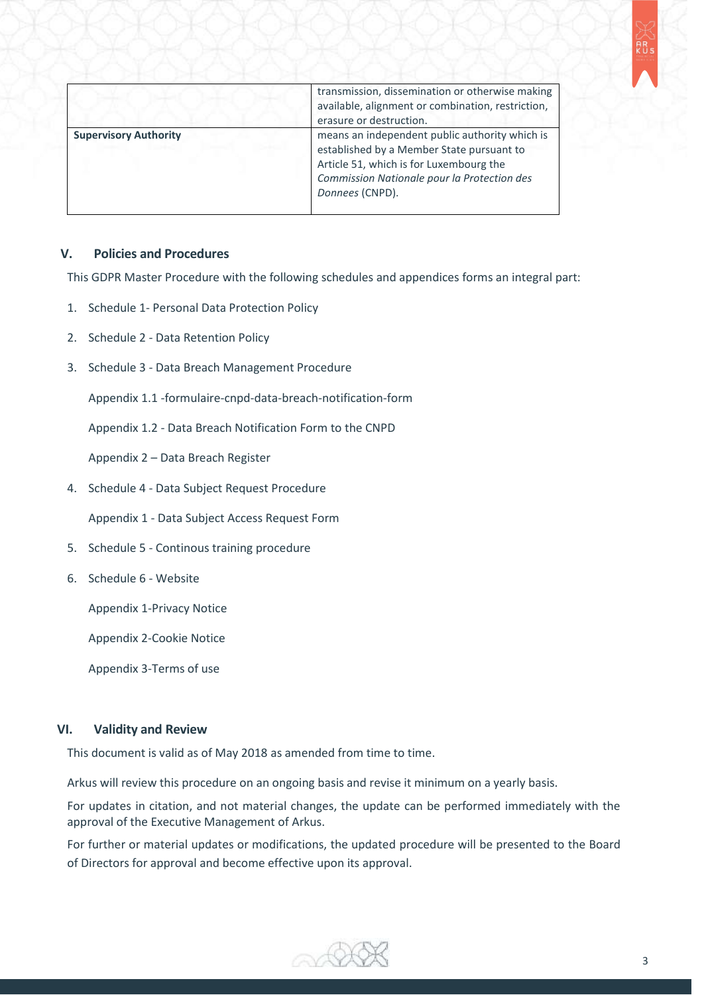| ÷ |        |
|---|--------|
|   | ÷<br>S |
|   |        |

|                              | transmission, dissemination or otherwise making<br>available, alignment or combination, restriction,<br>erasure or destruction.                                                                          |
|------------------------------|----------------------------------------------------------------------------------------------------------------------------------------------------------------------------------------------------------|
| <b>Supervisory Authority</b> | means an independent public authority which is<br>established by a Member State pursuant to<br>Article 51, which is for Luxembourg the<br>Commission Nationale pour la Protection des<br>Donnees (CNPD). |

# **V. Policies and Procedures**

This GDPR Master Procedure with the following schedules and appendices forms an integral part:

- 1. Schedule 1- Personal Data Protection Policy
- 2. Schedule 2 Data Retention Policy
- 3. Schedule 3 Data Breach Management Procedure

Appendix 1.1 -formulaire-cnpd-data-breach-notification-form

Appendix 1.2 - Data Breach Notification Form to the CNPD

Appendix 2 – Data Breach Register

4. Schedule 4 - Data Subject Request Procedure

Appendix 1 - Data Subject Access Request Form

- 5. Schedule 5 Continous training procedure
- 6. Schedule 6 Website

Appendix 1-Privacy Notice

Appendix 2-Cookie Notice

Appendix 3-Terms of use

## **VI. Validity and Review**

This document is valid as of May 2018 as amended from time to time.

Arkus will review this procedure on an ongoing basis and revise it minimum on a yearly basis.

For updates in citation, and not material changes, the update can be performed immediately with the approval of the Executive Management of Arkus.

For further or material updates or modifications, the updated procedure will be presented to the Board of Directors for approval and become effective upon its approval.